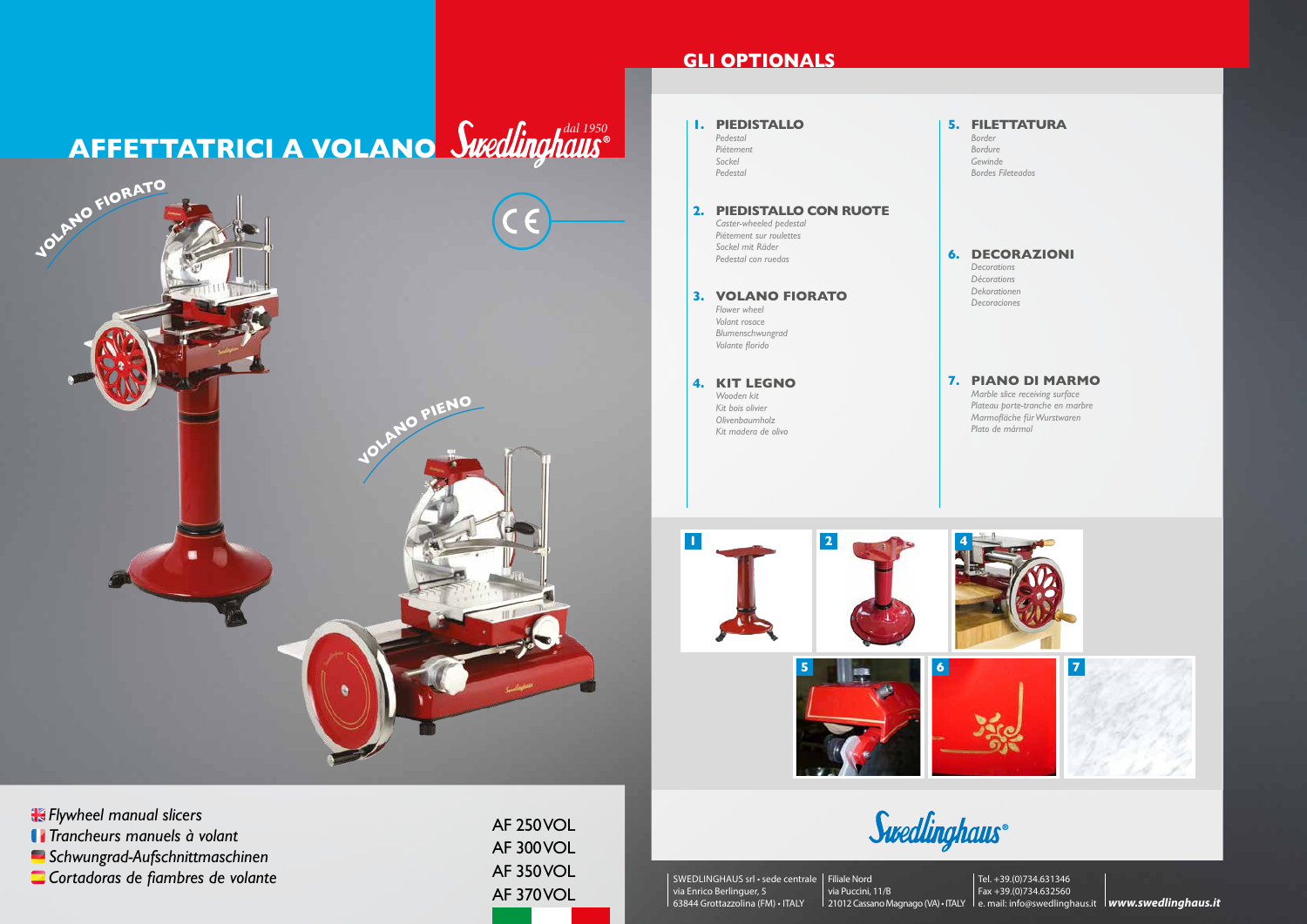AF 250 VOL AF 300 VOL AF 350 VOL AF 370 VOL

*Flywheel manual slicers Trancheurs manuels à volant*

*Schwungrad-Aufschnittmaschinen*

*Cortadoras de fiambres de volante*

## **GLI OPTIONALS**

**1**



**5 2 6 7 4 1. PIEDISTALLO** *Pedestal Piétement Sockel Pedestal* **5. FILETTATURA** *Border Bordure Gewinde Bordes Fileteados* **2. PIEDISTALLO CON RUOTE** *Caster-wheeled pedestal Piétement sur roulettes Sockel mit Räder Pedestal con ruedas* **6. DECORAZIONI** *Decorations Décorations Dekorationen* **3. VOLANO FIORATO** Decorationers *Flower wheel Volant rosace Blumenschwungrad Volante florido* **4. KIT LEGNO** *Wooden kit Kit bois olivier Olivenbaumholz Kit madera de olivo* **7. PIANO DI MARMO** *Marble slice receiving surface Plateau porte-tranche en marbre Marmofläche für Wurstwaren Plato de mármol*

Swedlinghaus®

SWEDLINGHAUS srl • sede centrale Filiale Nord via Enrico Berlinguer, 5 63844 Grottazzolina (FM) • ITALY

via Puccini, 11/B 21012 Cassano Magnago (VA) • ITALY le. mail: info@swedlinghaus.it **lwww.swedlinghaus.it** Tel. +39.(0)734.631346 Fax +39.(0)734.632560